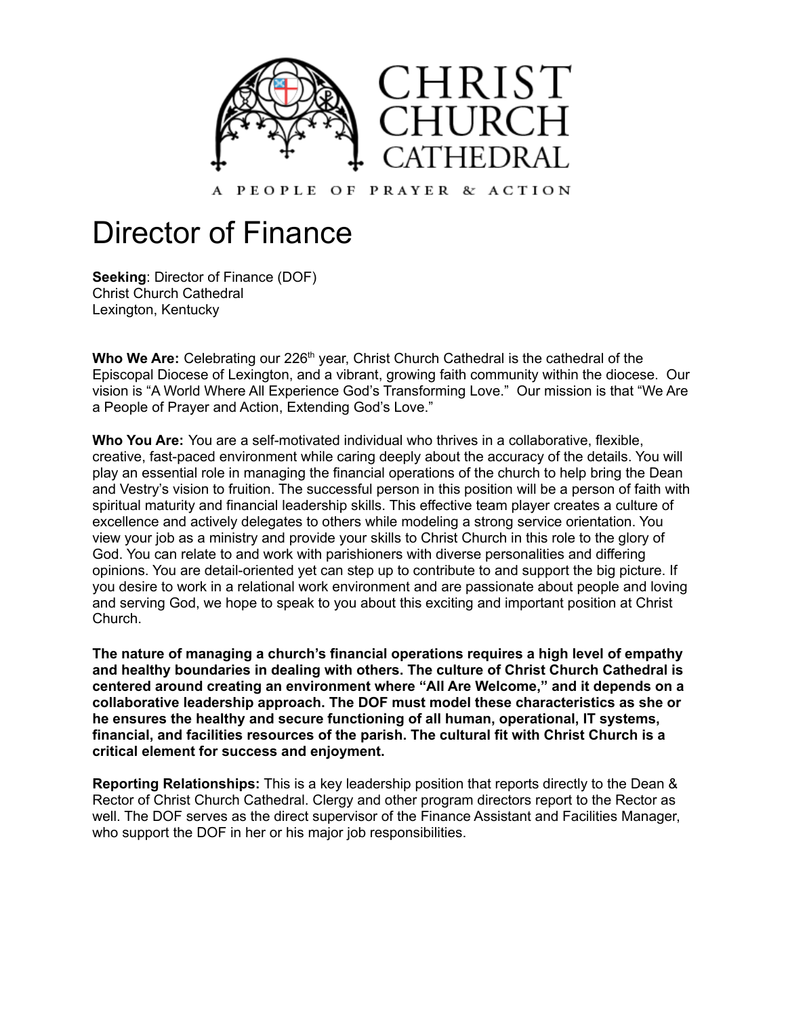

PEOPLE OF PRAYER & ACTION

# Director of Finance

**Seeking**: Director of Finance (DOF) Christ Church Cathedral Lexington, Kentucky

Who We Are: Celebrating our 226<sup>th</sup> year, Christ Church Cathedral is the cathedral of the Episcopal Diocese of Lexington, and a vibrant, growing faith community within the diocese. Our vision is "A World Where All Experience God's Transforming Love." Our mission is that "We Are a People of Prayer and Action, Extending God's Love."

**Who You Are:** You are a self-motivated individual who thrives in a collaborative, flexible, creative, fast-paced environment while caring deeply about the accuracy of the details. You will play an essential role in managing the financial operations of the church to help bring the Dean and Vestry's vision to fruition. The successful person in this position will be a person of faith with spiritual maturity and financial leadership skills. This effective team player creates a culture of excellence and actively delegates to others while modeling a strong service orientation. You view your job as a ministry and provide your skills to Christ Church in this role to the glory of God. You can relate to and work with parishioners with diverse personalities and differing opinions. You are detail-oriented yet can step up to contribute to and support the big picture. If you desire to work in a relational work environment and are passionate about people and loving and serving God, we hope to speak to you about this exciting and important position at Christ Church.

**The nature of managing a church's financial operations requires a high level of empathy and healthy boundaries in dealing with others. The culture of Christ Church Cathedral is centered around creating an environment where "All Are Welcome," and it depends on a collaborative leadership approach. The DOF must model these characteristics as she or he ensures the healthy and secure functioning of all human, operational, IT systems, financial, and facilities resources of the parish. The cultural fit with Christ Church is a critical element for success and enjoyment.**

**Reporting Relationships:** This is a key leadership position that reports directly to the Dean & Rector of Christ Church Cathedral. Clergy and other program directors report to the Rector as well. The DOF serves as the direct supervisor of the Finance Assistant and Facilities Manager, who support the DOF in her or his major job responsibilities.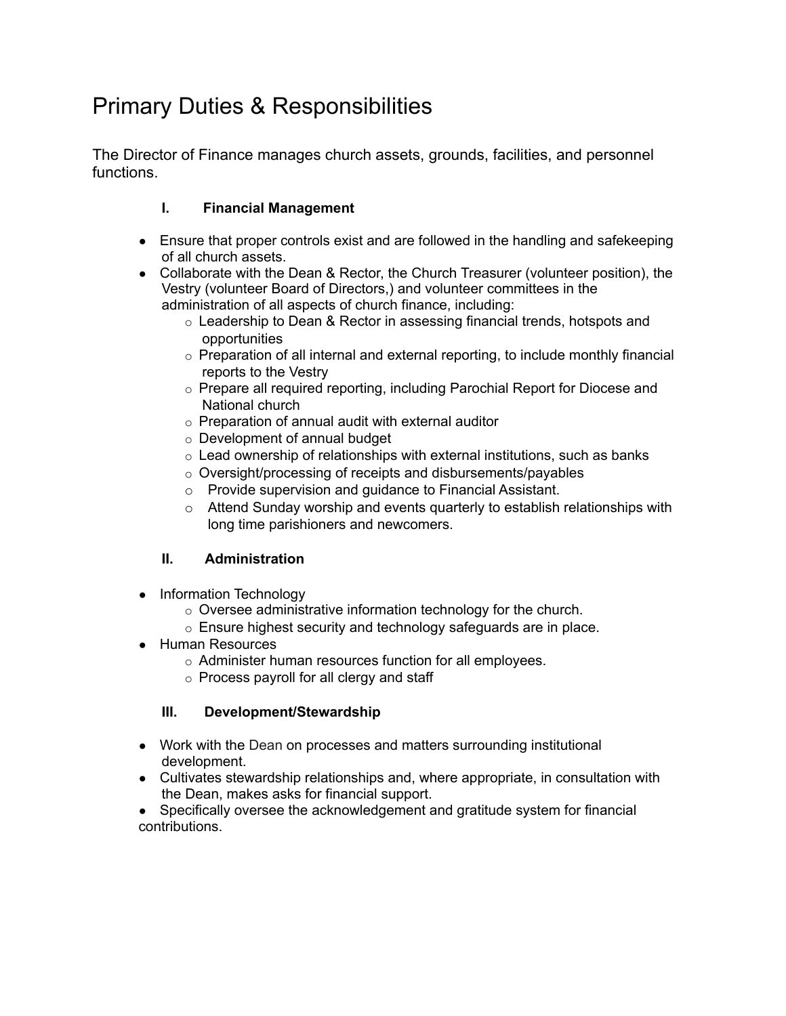# Primary Duties & Responsibilities

The Director of Finance manages church assets, grounds, facilities, and personnel functions.

## **I. Financial Management**

- Ensure that proper controls exist and are followed in the handling and safekeeping of all church assets.
- Collaborate with the Dean & Rector, the Church Treasurer (volunteer position), the Vestry (volunteer Board of Directors,) and volunteer committees in the administration of all aspects of church finance, including:
	- o Leadership to Dean & Rector in assessing financial trends, hotspots and opportunities
	- $\circ$  Preparation of all internal and external reporting, to include monthly financial reports to the Vestry
	- o Prepare all required reporting, including Parochial Report for Diocese and National church
	- $\circ$  Preparation of annual audit with external auditor
	- o Development of annual budget
	- $\circ$  Lead ownership of relationships with external institutions, such as banks
	- o Oversight/processing of receipts and disbursements/payables
	- o Provide supervision and guidance to Financial Assistant.
	- $\circ$  Attend Sunday worship and events quarterly to establish relationships with long time parishioners and newcomers.

### **II. Administration**

- Information Technology
	- o Oversee administrative information technology for the church.
	- o Ensure highest security and technology safeguards are in place.
- Human Resources
	- o Administer human resources function for all employees.
	- o Process payroll for all clergy and staff

#### **III. Development/Stewardship**

- Work with the Dean on processes and matters surrounding institutional development.
- Cultivates stewardship relationships and, where appropriate, in consultation with the Dean, makes asks for financial support.
- Specifically oversee the acknowledgement and gratitude system for financial contributions.